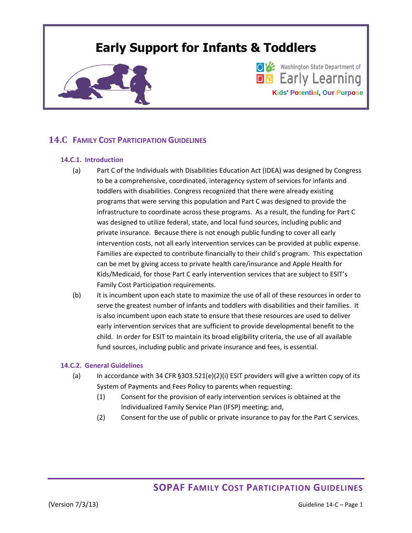# **Early Support for Infants & Toddlers**



Washington State Department of **DA** Early Learning **Kids' Potential, Our Purpose**

## **14.C FAMILY COST PARTICIPATION GUIDELINES**

#### **14.C.1. Introduction**

- (a) Part C of the Individuals with Disabilities Education Act (IDEA) was designed by Congress to be a comprehensive, coordinated, interagency system of services for infants and toddlers with disabilities. Congress recognized that there were already existing programs that were serving this population and Part C was designed to provide the infrastructure to coordinate across these programs. As a result, the funding for Part C was designed to utilize federal, state, and local fund sources, including public and private insurance. Because there is not enough public funding to cover all early intervention costs, not all early intervention services can be provided at public expense. Families are expected to contribute financially to their child's program. This expectation can be met by giving access to private health care/insurance and Apple Health for Kids/Medicaid, for those Part C early intervention services that are subject to ESIT's Family Cost Participation requirements.
- (b) It is incumbent upon each state to maximize the use of all of these resources in order to serve the greatest number of infants and toddlers with disabilities and their families. It is also incumbent upon each state to ensure that these resources are used to deliver early intervention services that are sufficient to provide developmental benefit to the child. In order for ESIT to maintain its broad eligibility criteria, the use of all available fund sources, including public and private insurance and fees, is essential.

#### **14.C.2. General Guidelines**

- (a) In accordance with 34 CFR  $\S 303.521(e)(2)(i)$  ESIT providers will give a written copy of its System of Payments and Fees Policy to parents when requesting:
	- (1) Consent for the provision of early intervention services is obtained at the Individualized Family Service Plan (IFSP) meeting; and,
	- (2) Consent for the use of public or private insurance to pay for the Part C services.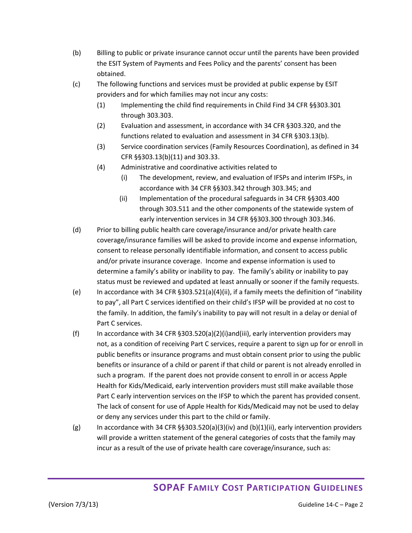- (b) Billing to public or private insurance cannot occur until the parents have been provided the ESIT System of Payments and Fees Policy and the parents' consent has been obtained.
- (c) The following functions and services must be provided at public expense by ESIT providers and for which families may not incur any costs:
	- (1) Implementing the child find requirements in Child Find 34 CFR §§303.301 through 303.303.
	- (2) Evaluation and assessment, in accordance with 34 CFR §303.320, and the functions related to evaluation and assessment in 34 CFR §303.13(b).
	- (3) Service coordination services (Family Resources Coordination), as defined in 34 CFR §§303.13(b)(11) and 303.33.
	- (4) Administrative and coordinative activities related to
		- (i) The development, review, and evaluation of IFSPs and interim IFSPs, in accordance with 34 CFR §§303.342 through 303.345; and
		- (ii) Implementation of the procedural safeguards in 34 CFR §§303.400 through 303.511 and the other components of the statewide system of early intervention services in 34 CFR §§303.300 through 303.346.
- (d) Prior to billing public health care coverage/insurance and/or private health care coverage/insurance families will be asked to provide income and expense information, consent to release personally identifiable information, and consent to access public and/or private insurance coverage. Income and expense information is used to determine a family's ability or inability to pay. The family's ability or inability to pay status must be reviewed and updated at least annually or sooner if the family requests.
- (e) In accordance with 34 CFR §303.521(a)(4)(ii), if a family meets the definition of "inability to pay", all Part C services identified on their child's IFSP will be provided at no cost to the family. In addition, the family's inability to pay will not result in a delay or denial of Part C services.
- (f) In accordance with 34 CFR §303.520(a)(2)(i)and(iii), early intervention providers may not, as a condition of receiving Part C services, require a parent to sign up for or enroll in public benefits or insurance programs and must obtain consent prior to using the public benefits or insurance of a child or parent if that child or parent is not already enrolled in such a program. If the parent does not provide consent to enroll in or access Apple Health for Kids/Medicaid, early intervention providers must still make available those Part C early intervention services on the IFSP to which the parent has provided consent. The lack of consent for use of Apple Health for Kids/Medicaid may not be used to delay or deny any services under this part to the child or family.
- (g) In accordance with 34 CFR §§303.520(a)(3)(iv) and (b)(1)(ii), early intervention providers will provide a written statement of the general categories of costs that the family may incur as a result of the use of private health care coverage/insurance, such as: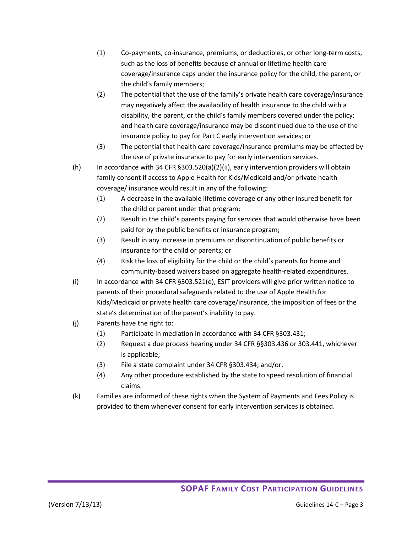- (1) Co-payments, co-insurance, premiums, or deductibles, or other long-term costs, such as the loss of benefits because of annual or lifetime health care coverage/insurance caps under the insurance policy for the child, the parent, or the child's family members;
- (2) The potential that the use of the family's private health care coverage/insurance may negatively affect the availability of health insurance to the child with a disability, the parent, or the child's family members covered under the policy; and health care coverage/insurance may be discontinued due to the use of the insurance policy to pay for Part C early intervention services; or
- (3) The potential that health care coverage/insurance premiums may be affected by the use of private insurance to pay for early intervention services.
- (h) In accordance with 34 CFR §303.520(a)(2)(ii), early intervention providers will obtain family consent if access to Apple Health for Kids/Medicaid and/or private health coverage/ insurance would result in any of the following:
	- (1) A decrease in the available lifetime coverage or any other insured benefit for the child or parent under that program;
	- (2) Result in the child's parents paying for services that would otherwise have been paid for by the public benefits or insurance program;
	- (3) Result in any increase in premiums or discontinuation of public benefits or insurance for the child or parents; or
	- (4) Risk the loss of eligibility for the child or the child's parents for home and community-based waivers based on aggregate health-related expenditures.
- (i) In accordance with 34 CFR  $\S 303.521(e)$ , ESIT providers will give prior written notice to parents of their procedural safeguards related to the use of Apple Health for Kids/Medicaid or private health care coverage/insurance, the imposition of fees or the state's determination of the parent's inability to pay.
- (j) Parents have the right to:
	- (1) Participate in mediation in accordance with 34 CFR §303.431;
	- (2) Request a due process hearing under 34 CFR §§303.436 or 303.441, whichever is applicable;
	- (3) File a state complaint under 34 CFR §303.434; and/or,
	- (4) Any other procedure established by the state to speed resolution of financial claims.
- (k) Families are informed of these rights when the System of Payments and Fees Policy is provided to them whenever consent for early intervention services is obtained.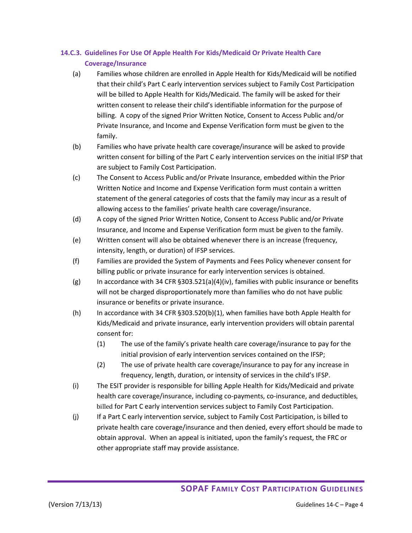## **14.C.3. Guidelines For Use Of Apple Health For Kids/Medicaid Or Private Health Care Coverage/Insurance**

- (a) Families whose children are enrolled in Apple Health for Kids/Medicaid will be notified that their child's Part C early intervention services subject to Family Cost Participation will be billed to Apple Health for Kids/Medicaid. The family will be asked for their written consent to release their child's identifiable information for the purpose of billing. A copy of the signed Prior Written Notice, Consent to Access Public and/or Private Insurance, and Income and Expense Verification form must be given to the family.
- (b) Families who have private health care coverage/insurance will be asked to provide written consent for billing of the Part C early intervention services on the initial IFSP that are subject to Family Cost Participation.
- (c) The Consent to Access Public and/or Private Insurance, embedded within the Prior Written Notice and Income and Expense Verification form must contain a written statement of the general categories of costs that the family may incur as a result of allowing access to the families' private health care coverage/insurance.
- (d) A copy of the signed Prior Written Notice, Consent to Access Public and/or Private Insurance, and Income and Expense Verification form must be given to the family.
- (e) Written consent will also be obtained whenever there is an increase (frequency, intensity, length, or duration) of IFSP services.
- (f) Families are provided the System of Payments and Fees Policy whenever consent for billing public or private insurance for early intervention services is obtained.
- (g) In accordance with 34 CFR  $\S 303.521(a)(4)(iv)$ , families with public insurance or benefits will not be charged disproportionately more than families who do not have public insurance or benefits or private insurance.
- (h) In accordance with 34 CFR §303.520(b)(1), when families have both Apple Health for Kids/Medicaid and private insurance, early intervention providers will obtain parental consent for:
	- (1) The use of the family's private health care coverage/insurance to pay for the initial provision of early intervention services contained on the IFSP;
	- (2) The use of private health care coverage/insurance to pay for any increase in frequency, length, duration, or intensity of services in the child's IFSP.
- (i) The ESIT provider is responsible for billing Apple Health for Kids/Medicaid and private health care coverage/insurance, including co-payments, co-insurance, and deductibles, billed for Part C early intervention services subject to Family Cost Participation.
- (j) If a Part C early intervention service, subject to Family Cost Participation, is billed to private health care coverage/insurance and then denied, every effort should be made to obtain approval. When an appeal is initiated, upon the family's request, the FRC or other appropriate staff may provide assistance.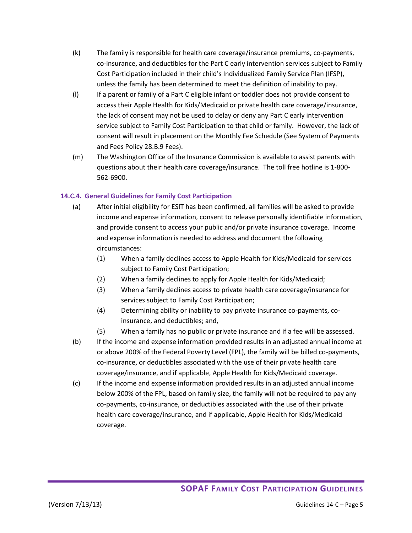- (k) The family is responsible for health care coverage/insurance premiums, co-payments, co-insurance, and deductibles for the Part C early intervention services subject to Family Cost Participation included in their child's Individualized Family Service Plan (IFSP), unless the family has been determined to meet the definition of inability to pay.
- (l) If a parent or family of a Part C eligible infant or toddler does not provide consent to access their Apple Health for Kids/Medicaid or private health care coverage/insurance, the lack of consent may not be used to delay or deny any Part C early intervention service subject to Family Cost Participation to that child or family. However, the lack of consent will result in placement on the Monthly Fee Schedule (See System of Payments and Fees Policy 28.B.9 Fees).
- (m) The Washington Office of the Insurance Commission is available to assist parents with questions about their health care coverage/insurance. The toll free hotline is 1-800- 562-6900.

#### **14.C.4. General Guidelines for Family Cost Participation**

- (a) After initial eligibility for ESIT has been confirmed, all families will be asked to provide income and expense information, consent to release personally identifiable information, and provide consent to access your public and/or private insurance coverage. Income and expense information is needed to address and document the following circumstances:
	- (1) When a family declines access to Apple Health for Kids/Medicaid for services subject to Family Cost Participation;
	- (2) When a family declines to apply for Apple Health for Kids/Medicaid;
	- (3) When a family declines access to private health care coverage/insurance for services subject to Family Cost Participation;
	- (4) Determining ability or inability to pay private insurance co-payments, coinsurance, and deductibles; and,
	- (5) When a family has no public or private insurance and if a fee will be assessed.
- (b) If the income and expense information provided results in an adjusted annual income at or above 200% of the Federal Poverty Level (FPL), the family will be billed co-payments, co-insurance, or deductibles associated with the use of their private health care coverage/insurance, and if applicable, Apple Health for Kids/Medicaid coverage.
- (c) If the income and expense information provided results in an adjusted annual income below 200% of the FPL, based on family size, the family will not be required to pay any co-payments, co-insurance, or deductibles associated with the use of their private health care coverage/insurance, and if applicable, Apple Health for Kids/Medicaid coverage.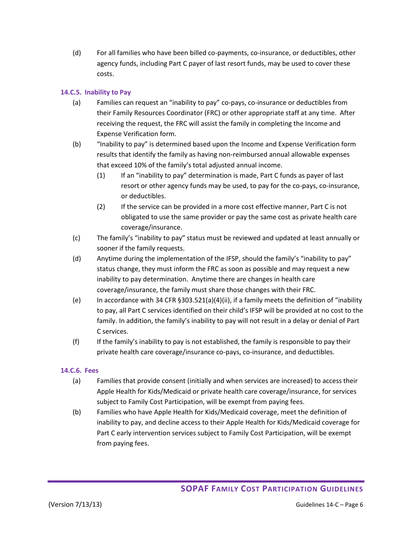(d) For all families who have been billed co-payments, co-insurance, or deductibles, other agency funds, including Part C payer of last resort funds, may be used to cover these costs.

### **14.C.5. Inability to Pay**

- (a) Families can request an "inability to pay" co-pays, co-insurance or deductibles from their Family Resources Coordinator (FRC) or other appropriate staff at any time. After receiving the request, the FRC will assist the family in completing the Income and Expense Verification form.
- (b) "Inability to pay" is determined based upon the Income and Expense Verification form results that identify the family as having non-reimbursed annual allowable expenses that exceed 10% of the family's total adjusted annual income.
	- (1) If an "inability to pay" determination is made, Part C funds as payer of last resort or other agency funds may be used, to pay for the co-pays, co-insurance, or deductibles.
	- (2) If the service can be provided in a more cost effective manner, Part C is not obligated to use the same provider or pay the same cost as private health care coverage/insurance.
- (c) The family's "inability to pay" status must be reviewed and updated at least annually or sooner if the family requests.
- (d) Anytime during the implementation of the IFSP, should the family's "inability to pay" status change, they must inform the FRC as soon as possible and may request a new inability to pay determination. Anytime there are changes in health care coverage/insurance, the family must share those changes with their FRC.
- (e) In accordance with 34 CFR §303.521(a)(4)(ii), if a family meets the definition of "inability to pay, all Part C services identified on their child's IFSP will be provided at no cost to the family. In addition, the family's inability to pay will not result in a delay or denial of Part C services.
- (f) If the family's inability to pay is not established, the family is responsible to pay their private health care coverage/insurance co-pays, co-insurance, and deductibles.

#### **14.C.6. Fees**

- (a) Families that provide consent (initially and when services are increased) to access their Apple Health for Kids/Medicaid or private health care coverage/insurance, for services subject to Family Cost Participation, will be exempt from paying fees.
- (b) Families who have Apple Health for Kids/Medicaid coverage, meet the definition of inability to pay, and decline access to their Apple Health for Kids/Medicaid coverage for Part C early intervention services subject to Family Cost Participation, will be exempt from paying fees.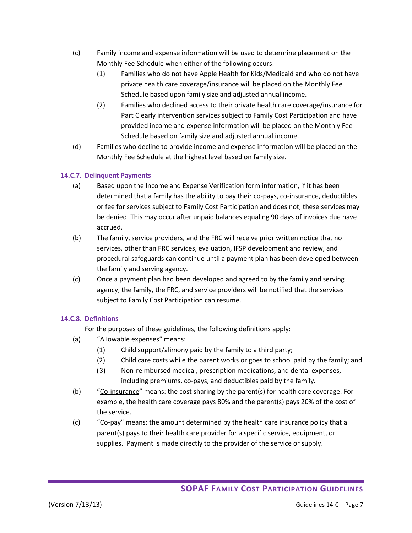- (c) Family income and expense information will be used to determine placement on the Monthly Fee Schedule when either of the following occurs:
	- (1) Families who do not have Apple Health for Kids/Medicaid and who do not have private health care coverage/insurance will be placed on the Monthly Fee Schedule based upon family size and adjusted annual income.
	- (2) Families who declined access to their private health care coverage/insurance for Part C early intervention services subject to Family Cost Participation and have provided income and expense information will be placed on the Monthly Fee Schedule based on family size and adjusted annual income.
- (d) Families who decline to provide income and expense information will be placed on the Monthly Fee Schedule at the highest level based on family size.

## **14.C.7. Delinquent Payments**

- (a) Based upon the Income and Expense Verification form information, if it has been determined that a family has the ability to pay their co-pays, co-insurance, deductibles or fee for services subject to Family Cost Participation and does not, these services may be denied. This may occur after unpaid balances equaling 90 days of invoices due have accrued.
- (b) The family, service providers, and the FRC will receive prior written notice that no services, other than FRC services, evaluation, IFSP development and review, and procedural safeguards can continue until a payment plan has been developed between the family and serving agency.
- (c) Once a payment plan had been developed and agreed to by the family and serving agency, the family, the FRC, and service providers will be notified that the services subject to Family Cost Participation can resume.

## **14.C.8. Definitions**

For the purposes of these guidelines, the following definitions apply:

- (a) "Allowable expenses" means:
	- (1) Child support/alimony paid by the family to a third party;
	- (2) Child care costs while the parent works or goes to school paid by the family; and
	- (3) Non-reimbursed medical, prescription medications, and dental expenses, including premiums, co-pays, and deductibles paid by the family**.**
- (b) "Co-insurance" means: the cost sharing by the parent(s) for health care coverage. For example, the health care coverage pays 80% and the parent(s) pays 20% of the cost of the service.
- (c) "Co-pay" means: the amount determined by the health care insurance policy that a parent(s) pays to their health care provider for a specific service, equipment, or supplies. Payment is made directly to the provider of the service or supply.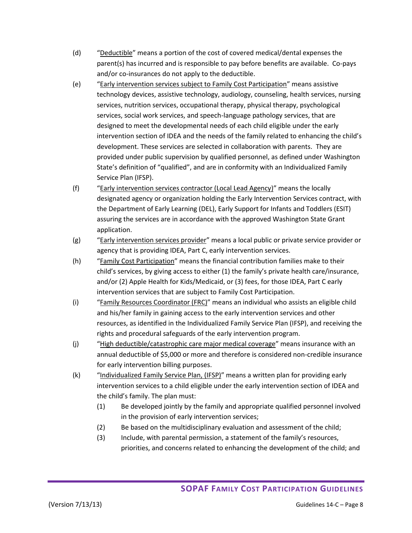- (d) "Deductible" means a portion of the cost of covered medical/dental expenses the parent(s) has incurred and is responsible to pay before benefits are available. Co-pays and/or co-insurances do not apply to the deductible.
- (e) "Early intervention services subject to Family Cost Participation" means assistive technology devices, assistive technology, audiology, counseling, health services, nursing services, nutrition services, occupational therapy, physical therapy, psychological services, social work services, and speech-language pathology services, that are designed to meet the developmental needs of each child eligible under the early intervention section of IDEA and the needs of the family related to enhancing the child's development. These services are selected in collaboration with parents. They are provided under public supervision by qualified personnel, as defined under Washington State's definition of "qualified", and are in conformity with an Individualized Family Service Plan (IFSP).
- (f) "Early intervention services contractor (Local Lead Agency)" means the locally designated agency or organization holding the Early Intervention Services contract, with the Department of Early Learning (DEL), Early Support for Infants and Toddlers (ESIT) assuring the services are in accordance with the approved Washington State Grant application.
- (g) "Early intervention services provider" means a local public or private service provider or agency that is providing IDEA, Part C, early intervention services.
- (h) "Family Cost Participation" means the financial contribution families make to their child's services, by giving access to either (1) the family's private health care/insurance, and/or (2) Apple Health for Kids/Medicaid, or (3) fees, for those IDEA, Part C early intervention services that are subject to Family Cost Participation.
- (i) "Family Resources Coordinator (FRC)" means an individual who assists an eligible child and his/her family in gaining access to the early intervention services and other resources, as identified in the Individualized Family Service Plan (IFSP), and receiving the rights and procedural safeguards of the early intervention program.
- (j) "High deductible/catastrophic care major medical coverage" means insurance with an annual deductible of \$5,000 or more and therefore is considered non-credible insurance for early intervention billing purposes.
- (k) "Individualized Family Service Plan, (IFSP)" means a written plan for providing early intervention services to a child eligible under the early intervention section of IDEA and the child's family. The plan must:
	- (1) Be developed jointly by the family and appropriate qualified personnel involved in the provision of early intervention services;
	- (2) Be based on the multidisciplinary evaluation and assessment of the child;
	- (3) Include, with parental permission, a statement of the family's resources, priorities, and concerns related to enhancing the development of the child; and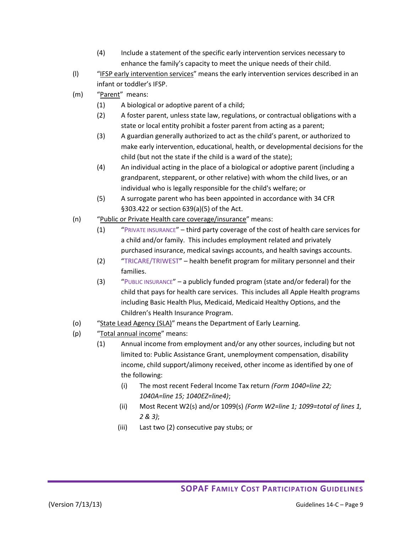- (4) Include a statement of the specific early intervention services necessary to enhance the family's capacity to meet the unique needs of their child.
- (I) "IFSP early intervention services" means the early intervention services described in an infant or toddler's IFSP.
- (m) "Parent" means:
	- (1) A biological or adoptive parent of a child;
	- (2) A foster parent, unless state law, regulations, or contractual obligations with a state or local entity prohibit a foster parent from acting as a parent;
	- (3) A guardian generally authorized to act as the child's parent, or authorized to make early intervention, educational, health, or developmental decisions for the child (but not the state if the child is a ward of the state);
	- (4) An individual acting in the place of a biological or adoptive parent (including a grandparent, stepparent, or other relative) with whom the child lives, or an individual who is legally responsible for the child's welfare; or
	- (5) A surrogate parent who has been appointed in accordance with 34 CFR §303.422 or section 639(a)(5) of the Act.
- (n) "Public or Private Health care coverage/insurance" means:
	- (1) "PRIVATE INSURANCE" third party coverage of the cost of health care services for a child and/or family. This includes employment related and privately purchased insurance, medical savings accounts, and health savings accounts.
	- (2) "TRICARE/TRIWEST" health benefit program for military personnel and their families.
	- (3) "PUBLIC INSURANCE" a publicly funded program (state and/or federal) for the child that pays for health care services. This includes all Apple Health programs including Basic Health Plus, Medicaid, Medicaid Healthy Options, and the Children's Health Insurance Program.
- (o) "State Lead Agency (SLA)" means the Department of Early Learning.
- (p) "Total annual income" means:
	- (1) Annual income from employment and/or any other sources, including but not limited to: Public Assistance Grant, unemployment compensation, disability income, child support/alimony received, other income as identified by one of the following:
		- (i) The most recent Federal Income Tax return *(Form 1040=line 22; 1040A=line 15; 1040EZ=line4)*;
		- (ii) Most Recent W2(s) and/or 1099(s) *(Form W2=line 1; 1099=total of lines 1, 2 & 3)*;
		- (iii) Last two (2) consecutive pay stubs; or